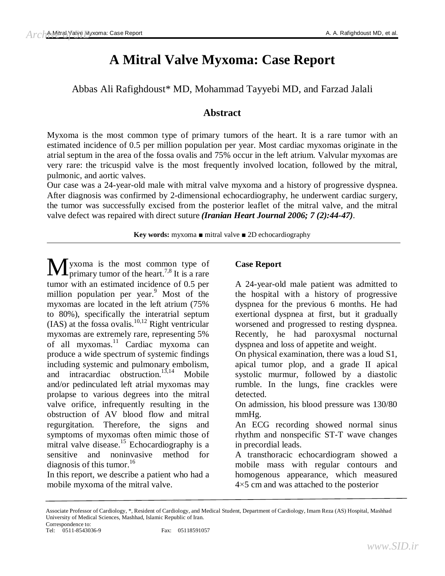# **A Mitral Valve Myxoma: Case Report**

Abbas Ali Rafighdoust\* MD, Mohammad Tayyebi MD, and Farzad Jalali

## **Abstract**

Myxoma is the most common type of primary tumors of the heart. It is a rare tumor with an estimated incidence of 0.5 per million population per year. Most cardiac myxomas originate in the atrial septum in the area of the fossa ovalis and 75% occur in the left atrium. Valvular myxomas are very rare: the tricuspid valve is the most frequently involved location, followed by the mitral, pulmonic, and aortic valves.

Our case was a 24-year-old male with mitral valve myxoma and a history of progressive dyspnea. After diagnosis was confirmed by 2-dimensional echocardiography, he underwent cardiac surgery, the tumor was successfully excised from the posterior leaflet of the mitral valve, and the mitral valve defect was repaired with direct suture *(Iranian Heart Journal 2006; 7 (2):44-47).*

**Key words:** myxoma ■ mitral valve ■ 2D echocardiography

yxoma is the most common type of  $\mathbf{M}$ yxoma is the most common type of primary tumor of the heart.<sup>7,8</sup> It is a rare tumor with an estimated incidence of 0.5 per million population per year.<sup>9</sup> Most of the myxomas are located in the left atrium (75% to 80%), specifically the interatrial septum  $(IAS)$  at the fossa ovalis.<sup>10,12</sup> Right ventricular myxomas are extremely rare, representing 5% of all myxomas. <sup>11</sup> Cardiac myxoma can produce a wide spectrum of systemic findings including systemic and pulmonary embolism, and intracardiac obstruction. $13,14$  Mobile and/or pedinculated left atrial myxomas may prolapse to various degrees into the mitral valve orifice, infrequently resulting in the obstruction of AV blood flow and mitral regurgitation. Therefore, the signs and symptoms of myxomas often mimic those of mitral valve disease.<sup>15</sup> Echocardiography is a sensitive and noninvasive method for diagnosis of this tumor.<sup>16</sup>

In this report, we describe a patient who had a mobile myxoma of the mitral valve.

## **Case Report**

A 24-year-old male patient was admitted to the hospital with a history of progressive dyspnea for the previous 6 months. He had exertional dyspnea at first, but it gradually worsened and progressed to resting dyspnea. Recently, he had paroxysmal nocturnal dyspnea and loss of appetite and weight.

On physical examination, there was a loud S1, apical tumor plop, and a grade II apical systolic murmur, followed by a diastolic rumble. In the lungs, fine crackles were detected.

On admission, his blood pressure was 130/80 mmHg.

An ECG recording showed normal sinus rhythm and nonspecific ST-T wave changes in precordial leads.

A transthoracic echocardiogram showed a mobile mass with regular contours and homogenous appearance, which measured 4×5 cm and was attached to the posterior

Associate Professor of Cardiology, \*, Resident of Cardiology, and Medical Student, Department of Cardiology, Imam Reza (AS) Hospital, Mashhad University of Medical Sciences, Mashhad, Islamic Republic of Iran. Correspondence to:

Tel: 0511-8543036-9 Fax: 05118591057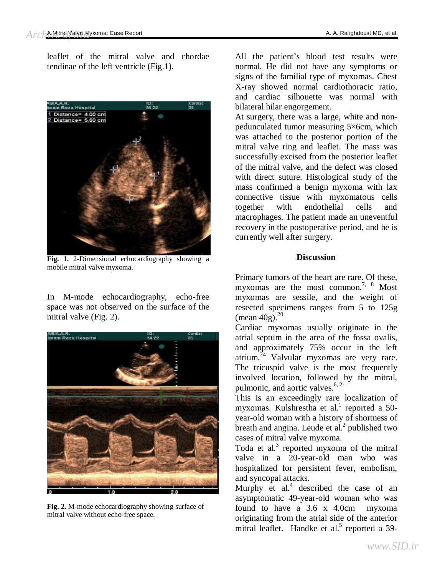leaflet of the mitral valve and chordae tendinae of the left ventricle (Fig.1).



**Fig. 1.** 2**-**Dimensional echocardiography showing a mobile mitral valve myxoma.

In M-mode echocardiography, echo-free space was not observed on the surface of the mitral valve (Fig. 2).



**Fig. 2.** M-mode echocardiography showing surface of mitral valve without echo-free space.

All the patient's blood test results were normal. He did not have any symptoms or signs of the familial type of myxomas. Chest X-ray showed normal cardiothoracic ratio, and cardiac silhouette was normal with bilateral hilar engorgement.

At surgery, there was a large, white and nonpedunculated tumor measuring 5×6cm, which was attached to the posterior portion of the mitral valve ring and leaflet. The mass was successfully excised from the posterior leaflet of the mitral valve, and the defect was closed with direct suture. Histological study of the mass confirmed a benign myxoma with lax connective tissue with myxomatous cells together with endothelial cells and macrophages. The patient made an uneventful recovery in the postoperative period, and he is currently well after surgery.

### **Discussion**

Primary tumors of the heart are rare. Of these, myxomas are the most common.<sup>7, 8</sup> Most myxomas are sessile, and the weight of resected specimens ranges from 5 to 125g (mean  $40g$ ).<sup>20</sup>

Cardiac myxomas usually originate in the atrial septum in the area of the fossa ovalis, and approximately 75% occur in the left  $a$ atrium.<sup> $24$ </sup> Valvular myxomas are very rare. The tricuspid valve is the most frequently involved location, followed by the mitral, pulmonic, and aortic valves. $6, 21$ 

This is an exceedingly rare localization of myxomas. Kulshrestha et al.<sup>1</sup> reported a 50year-old woman with a history of shortness of breath and angina. Leude et al. $<sup>2</sup>$  published two</sup> cases of mitral valve myxoma.

Toda et al. $3$  reported myxoma of the mitral valve in a 20-year-old man who was hospitalized for persistent fever, embolism, and syncopal attacks.

Murphy et al. $4$  described the case of an asymptomatic 49-year-old woman who was found to have a 3.6 x 4.0cm myxoma originating from the atrial side of the anterior mitral leaflet. Handke et al.<sup>5</sup> reported a 39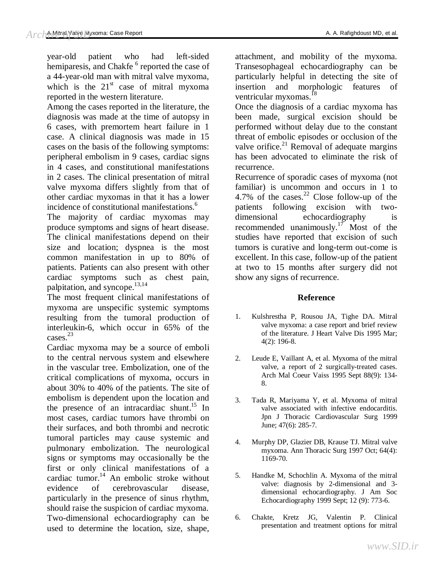year-old patient who had left-sided hemiparesis, and Chakfe <sup>6</sup> reported the case of a 44-year-old man with mitral valve myxoma, which is the  $21<sup>st</sup>$  case of mitral myxoma reported in the western literature.

Among the cases reported in the literature, the diagnosis was made at the time of autopsy in 6 cases, with premortem heart failure in 1 case. A clinical diagnosis was made in 15 cases on the basis of the following symptoms: peripheral embolism in 9 cases, cardiac signs in 4 cases, and constitutional manifestations in 2 cases. The clinical presentation of mitral valve myxoma differs slightly from that of other cardiac myxomas in that it has a lower incidence of constitutional manifestations.<sup>6</sup>

The majority of cardiac myxomas may produce symptoms and signs of heart disease. The clinical manifestations depend on their size and location; dyspnea is the most common manifestation in up to 80% of patients. Patients can also present with other cardiac symptoms such as chest pain, palpitation, and syncope.<sup>13,14</sup>

The most frequent clinical manifestations of myxoma are unspecific systemic symptoms resulting from the tumoral production of interleukin-6, which occur in 65% of the cases.<sup>23</sup>

Cardiac myxoma may be a source of emboli to the central nervous system and elsewhere in the vascular tree. Embolization, one of the critical complications of myxoma, occurs in about 30% to 40% of the patients. The site of embolism is dependent upon the location and the presence of an intracardiac shunt.<sup>15</sup> In most cases, cardiac tumors have thrombi on their surfaces, and both thrombi and necrotic tumoral particles may cause systemic and pulmonary embolization. The neurological signs or symptoms may occasionally be the first or only clinical manifestations of a cardiac tumor. <sup>14</sup> An embolic stroke without evidence of cerebrovascular disease, particularly in the presence of sinus rhythm, should raise the suspicion of cardiac myxoma. Two-dimensional echocardiography can be used to determine the location, size, shape,

attachment, and mobility of the myxoma. Transesophageal echocardiography can be particularly helpful in detecting the site of insertion and morphologic features of ventricular myxomas.<sup>18</sup>

Once the diagnosis of a cardiac myxoma has been made, surgical excision should be performed without delay due to the constant threat of embolic episodes or occlusion of the valve orifice. $21$  Removal of adequate margins has been advocated to eliminate the risk of recurrence.

Recurrence of sporadic cases of myxoma (not familiar) is uncommon and occurs in 1 to 4.7% of the cases. $^{22}$  Close follow-up of the patients following excision with twodimensional echocardiography is recommended unanimously.<sup>17</sup> Most of the studies have reported that excision of such tumors is curative and long-term out-come is excellent. In this case, follow-up of the patient at two to 15 months after surgery did not show any signs of recurrence.

#### **Reference**

- 1. Kulshrestha P, Rousou JA, Tighe DA. Mitral valve myxoma: a case report and brief review of the literature. J Heart Valve Dis 1995 Mar; 4(2): 196-8.
- 2. Leude E, Vaillant A, et al. Myxoma of the mitral valve, a report of 2 surgically-treated cases. Arch Mal Coeur Vaiss 1995 Sept 88(9): 134- 8.
- 3. Tada R, Mariyama Y, et al. Myxoma of mitral valve associated with infective endocarditis. Jpn J Thoracic Cardiovascular Surg 1999 June; 47(6): 285-7.
- 4. Murphy DP, Glazier DB, Krause TJ. Mitral valve myxoma. Ann Thoracic Surg 1997 Oct; 64(4): 1169-70.
- 5. Handke M, Schochlin A. Myxoma of the mitral valve: diagnosis by 2-dimensional and 3 dimensional echocardiography. J Am Soc Echocardiography 1999 Sept; 12 (9): 773-6.
- 6. Chakte, Kretz JG, Valentin P. Clinical presentation and treatment options for mitral